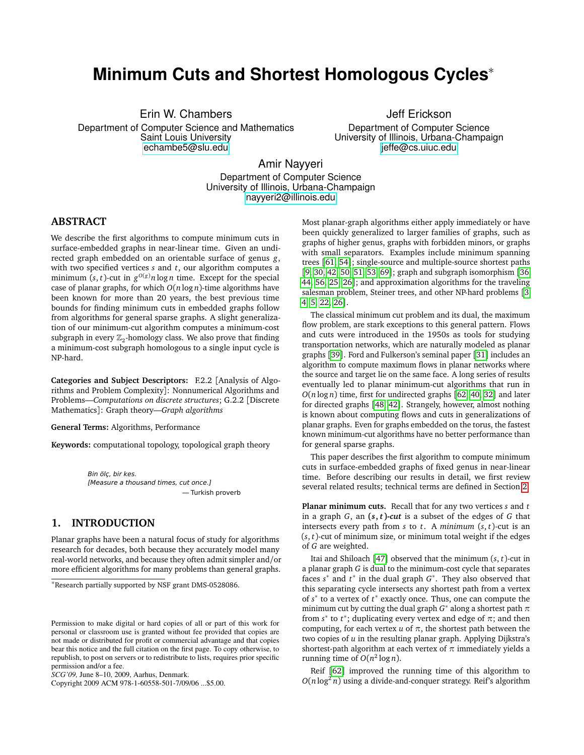# **Minimum Cuts and Shortest Homologous Cycles**<sup>∗</sup>

Erin W. Chambers

Department of Computer Science and Mathematics Saint Louis University <echambe5@slu.edu>

Jeff Erickson Department of Computer Science University of Illinois, Urbana-Champaign <jeffe@cs.uiuc.edu>

Amir Nayyeri

Department of Computer Science University of Illinois, Urbana-Champaign <nayyeri2@illinois.edu>

### **ABSTRACT**

We describe the first algorithms to compute minimum cuts in surface-embedded graphs in near-linear time. Given an undirected graph embedded on an orientable surface of genus *g*, with two specified vertices *s* and *t*, our algorithm computes a minimum  $(s, t)$ -cut in  $g^{O(g)}n \log n$  time. Except for the special case of planar graphs, for which *O*(*n* log *n*)-time algorithms have been known for more than 20 years, the best previous time bounds for finding minimum cuts in embedded graphs follow from algorithms for general sparse graphs. A slight generalization of our minimum-cut algorithm computes a minimum-cost subgraph in every  $\mathbb{Z}_2$ -homology class. We also prove that finding a minimum-cost subgraph homologous to a single input cycle is NP-hard.

**Categories and Subject Descriptors:** F.2.2 [Analysis of Algorithms and Problem Complexity]: Nonnumerical Algorithms and Problems—*Computations on discrete structures*; G.2.2 [Discrete Mathematics]: Graph theory—*Graph algorithms*

**General Terms:** Algorithms, Performance

**Keywords:** computational topology, topological graph theory

Bin ölç, bir kes. [Measure a thousand times, cut once.] — Turkish proverb

## **1. INTRODUCTION**

Planar graphs have been a natural focus of study for algorithms research for decades, both because they accurately model many real-world networks, and because they often admit simpler and/or more efficient algorithms for many problems than general graphs.

<sup>∗</sup>Research partially supported by NSF grant DMS-0528086.

Copyright 2009 ACM 978-1-60558-501-7/09/06 ...\$5.00.

Most planar-graph algorithms either apply immediately or have been quickly generalized to larger families of graphs, such as graphs of higher genus, graphs with forbidden minors, or graphs with small separators. Examples include minimum spanning trees [[61,](#page-8-0) [54](#page-8-1)]; single-source and multiple-source shortest paths [[9,](#page-7-0) [30,](#page-7-1) [42,](#page-8-2) [50,](#page-8-3) [51,](#page-8-4) [53,](#page-8-5) [69](#page-8-6)]; graph and subgraph isomorphism [[36,](#page-7-2) [44,](#page-8-7) [56,](#page-8-8) [25,](#page-7-3) [26](#page-7-4)]; and approximation algorithms for the traveling salesman problem, Steiner trees, and other NP-hard problems [[3,](#page-7-5) [4,](#page-7-6) [5,](#page-7-7) [22,](#page-7-8) [26](#page-7-4)].

The classical minimum cut problem and its dual, the maximum flow problem, are stark exceptions to this general pattern. Flows and cuts were introduced in the 1950s as tools for studying transportation networks, which are naturally modeled as planar graphs [[39](#page-8-9)]. Ford and Fulkerson's seminal paper [[31](#page-7-9)] includes an algorithm to compute maximum flows in planar networks where the source and target lie on the same face. A long series of results eventually led to planar minimum-cut algorithms that run in  $O(n \log n)$  time, first for undirected graphs [[62,](#page-8-10) [40,](#page-8-11) [32](#page-7-10)] and later for directed graphs [[48,](#page-8-12) [42](#page-8-2)]. Strangely, however, almost nothing is known about computing flows and cuts in generalizations of planar graphs. Even for graphs embedded on the torus, the fastest known minimum-cut algorithms have no better performance than for general sparse graphs.

This paper describes the first algorithm to compute minimum cuts in surface-embedded graphs of fixed genus in near-linear time. Before describing our results in detail, we first review several related results; technical terms are defined in Section [2.](#page-2-0)

**Planar minimum cuts.** Recall that for any two vertices *s* and *t* in a graph *G*, an **(***s***,** *t* **)***-cut* is a subset of the edges of *G* that intersects every path from *s* to *t*. A *minimum* (*s*, *t*)-cut is an  $(s, t)$ -cut of minimum size, or minimum total weight if the edges of *G* are weighted.

Itai and Shiloach [[47](#page-8-13)] observed that the minimum (*s*, *t*)-cut in a planar graph *G* is dual to the minimum-cost cycle that separates faces *s*<sup>\*</sup> and *t*<sup>\*</sup> in the dual graph *G*<sup>\*</sup>. They also observed that this separating cycle intersects any shortest path from a vertex of *s* ∗ to a vertex of *t* ∗ exactly once. Thus, one can compute the minimum cut by cutting the dual graph *G* ∗ along a shortest path *π* from  $s^*$  to  $t^*$ ; duplicating every vertex and edge of  $\pi$ ; and then computing, for each vertex  $u$  of  $\pi$ , the shortest path between the two copies of *u* in the resulting planar graph. Applying Dijkstra's shortest-path algorithm at each vertex of  $\pi$  immediately yields a running time of  $O(n^2 \log n)$ .

Reif [[62](#page-8-10)] improved the running time of this algorithm to  $O(n \log^2 n)$  using a divide-and-conquer strategy. Reif's algorithm

Permission to make digital or hard copies of all or part of this work for personal or classroom use is granted without fee provided that copies are not made or distributed for profit or commercial advantage and that copies bear this notice and the full citation on the first page. To copy otherwise, to republish, to post on servers or to redistribute to lists, requires prior specific permission and/or a fee.

*SCG'09,* June 8–10, 2009, Aarhus, Denmark.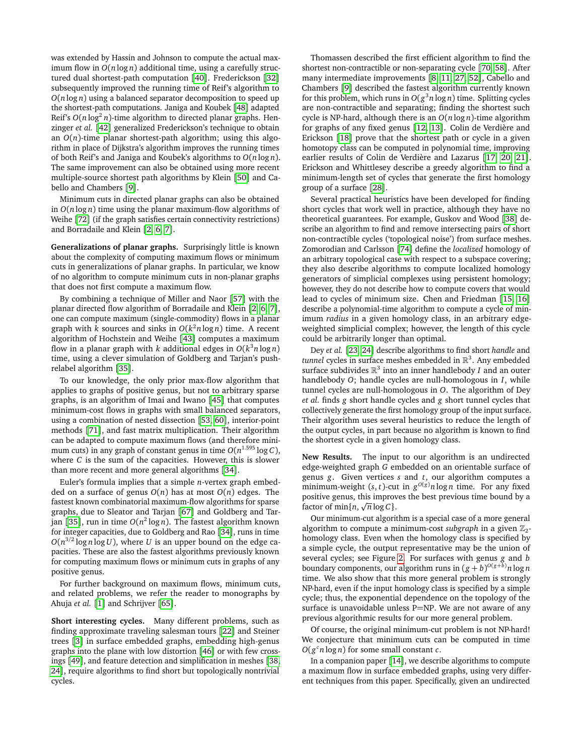was extended by Hassin and Johnson to compute the actual maximum flow in *O*(*n* log *n*) additional time, using a carefully structured dual shortest-path computation [[40](#page-8-11)]. Frederickson [[32](#page-7-10)] subsequently improved the running time of Reif's algorithm to *O*(*n* log *n*) using a balanced separator decomposition to speed up the shortest-path computations. Janiga and Koubek [[48](#page-8-12)] adapted Reif's  $O(n \log^2 n)$ -time algorithm to directed planar graphs. Henzinger *et al.* [[42](#page-8-2)] generalized Frederickson's technique to obtain an  $O(n)$ -time planar shortest-path algorithm; using this algorithm in place of Dijkstra's algorithm improves the running times of both Reif's and Janiga and Koubek's algorithms to *O*(*n* log *n*). The same improvement can also be obtained using more recent multiple-source shortest path algorithms by Klein [[50](#page-8-3)] and Cabello and Chambers [[9](#page-7-0)].

Minimum cuts in directed planar graphs can also be obtained in *O*(*n* log *n*) time using the planar maximum-flow algorithms of Weihe [[72](#page-8-14)] (if the graph satisfies certain connectivity restrictions) and Borradaile and Klein [[2,](#page-7-11) [6,](#page-7-12) [7](#page-7-13)].

**Generalizations of planar graphs.** Surprisingly little is known about the complexity of computing maximum flows or minimum cuts in generalizations of planar graphs. In particular, we know of no algorithm to compute minimum cuts in non-planar graphs that does not first compute a maximum flow.

By combining a technique of Miller and Naor [[57](#page-8-15)] with the planar directed flow algorithm of Borradaile and Klein [[2,](#page-7-11) [6,](#page-7-12) [7](#page-7-13)], one can compute maximum (single-commodity) flows in a planar graph with *k* sources and sinks in  $O(k^2 n \log n)$  time. A recent algorithm of Hochstein and Weihe [[43](#page-8-16)] computes a maximum flow in a planar graph with *k* additional edges in *O*(*k* <sup>3</sup>*n* log *n*) time, using a clever simulation of Goldberg and Tarjan's pushrelabel algorithm [[35](#page-7-14)].

To our knowledge, the only prior max-flow algorithm that applies to graphs of positive genus, but not to arbitrary sparse graphs, is an algorithm of Imai and Iwano [[45](#page-8-17)] that computes minimum-cost flows in graphs with small balanced separators, using a combination of nested dissection [[53,](#page-8-5) [60](#page-8-18)], interior-point methods [[71](#page-8-19)], and fast matrix multiplication. Their algorithm can be adapted to compute maximum flows (and therefore minimum cuts) in any graph of constant genus in time *O*(*n* 1.595 log *C*), where *C* is the sum of the capacities. However, this is slower than more recent and more general algorithms [[34](#page-7-15)].

Euler's formula implies that a simple *n*-vertex graph embedded on a surface of genus *O*(*n*) has at most *O*(*n*) edges. The fastest known combinatorial maximum-flow algorithms for sparse graphs, due to Sleator and Tarjan [[67](#page-8-20)] and Goldberg and Tarjan [[35](#page-7-14)], run in time *O*(*n* 2 log *n*). The fastest algorithm known for integer capacities, due to Goldberg and Rao [[34](#page-7-15)], runs in time  $O(n^{3/2} \log n \log U)$ , where *U* is an upper bound on the edge capacities. These are also the fastest algorithms previously known for computing maximum flows or minimum cuts in graphs of any positive genus.

For further background on maximum flows, minimum cuts, and related problems, we refer the reader to monographs by Ahuja *et al.* [[1](#page-7-16)] and Schrijver [[65](#page-8-21)].

**Short interesting cycles.** Many different problems, such as finding approximate traveling salesman tours [[22](#page-7-8)] and Steiner trees [[3](#page-7-5)] in surface embedded graphs, embedding high-genus graphs into the plane with low distortion [[46](#page-8-22)] or with few crossings [[49](#page-8-23)], and feature detection and simplification in meshes [[38,](#page-7-17) [24](#page-7-18)], require algorithms to find short but topologically nontrivial cycles.

Thomassen described the first efficient algorithm to find the shortest non-contractible or non-separating cycle [[70,](#page-8-24) [58](#page-8-25)]. After many intermediate improvements [[8,](#page-7-19) [11,](#page-7-20) [27,](#page-7-21) [52](#page-8-26)], Cabello and Chambers [[9](#page-7-0)] described the fastest algorithm currently known for this problem, which runs in  $O(g^3 n \log n)$  time. Splitting cycles are non-contractible and separating; finding the shortest such cycle is NP-hard, although there is an *O*(*n* log *n*)-time algorithm for graphs of any fixed genus [[12,](#page-7-22) [13](#page-7-23)]. Colin de Verdière and Erickson [[18](#page-7-24)] prove that the shortest path or cycle in a given homotopy class can be computed in polynomial time, improving earlier results of Colin de Verdière and Lazarus [[17,](#page-7-25) [20,](#page-7-26) [21](#page-7-27)]. Erickson and Whittlesey describe a greedy algorithm to find a minimum-length set of cycles that generate the first homology group of a surface [[28](#page-7-28)].

Several practical heuristics have been developed for finding short cycles that work well in practice, although they have no theoretical guarantees. For example, Guskov and Wood [[38](#page-7-17)] describe an algorithm to find and remove intersecting pairs of short non-contractible cycles ('topological noise') from surface meshes. Zomorodian and Carlsson [[74](#page-8-27)] define the *localized* homology of an arbitrary topological case with respect to a subspace covering; they also describe algorithms to compute localized homology generators of simplicial complexes using persistent homology; however, they do not describe how to compute covers that would lead to cycles of minimum size. Chen and Friedman [[15,](#page-7-29) [16](#page-7-30)] describe a polynomial-time algorithm to compute a cycle of minimum *radius* in a given homology class, in an arbitrary edgeweighted simplicial complex; however, the length of this cycle could be arbitrarily longer than optimal.

Dey *et al.* [[23,](#page-7-31) [24](#page-7-18)] describe algorithms to find short *handle* and *tunnel* cycles in surface meshes embedded in R 3 . Any embedded surface subdivides  $\mathbb{R}^3$  into an inner handlebody *I* and an outer handlebody *O*; handle cycles are null-homologous in *I*, while tunnel cycles are null-homologous in *O*. The algorithm of Dey *et al.* finds *g* short handle cycles and *g* short tunnel cycles that collectively generate the first homology group of the input surface. Their algorithm uses several heuristics to reduce the length of the output cycles, in part because no algorithm is known to find the shortest cycle in a given homology class.

**New Results.** The input to our algorithm is an undirected edge-weighted graph *G* embedded on an orientable surface of genus *g*. Given vertices *s* and *t*, our algorithm computes a minimum-weight  $(s, t)$ -cut in  $g^{O(g)}n \log n$  time. For any fixed positive genus, this improves the best previous time bound by a p factor of  $\min\{n, \sqrt{n} \log C\}$ .

Our minimum-cut algorithm is a special case of a more general algorithm to compute a minimum-cost *subgraph* in a given  $\mathbb{Z}_2$ homology class. Even when the homology class is specified by a simple cycle, the output representative may be the union of several cycles; see Figure [2.](#page-3-0) For surfaces with genus *g* and *b* boundary components, our algorithm runs in  $(g + b)^{O(g + b)}n \log n$ time. We also show that this more general problem is strongly NP-hard, even if the input homology class is specified by a simple cycle; thus, the exponential dependence on the topology of the surface is unavoidable unless P=NP. We are not aware of any previous algorithmic results for our more general problem.

Of course, the original minimum-cut problem is not NP-hard! We conjecture that minimum cuts can be computed in time  $O(g<sup>c</sup>n \log n)$  for some small constant *c*.

In a companion paper [[14](#page-7-32)], we describe algorithms to compute a maximum flow in surface embedded graphs, using very different techniques from this paper. Specifically, given an undirected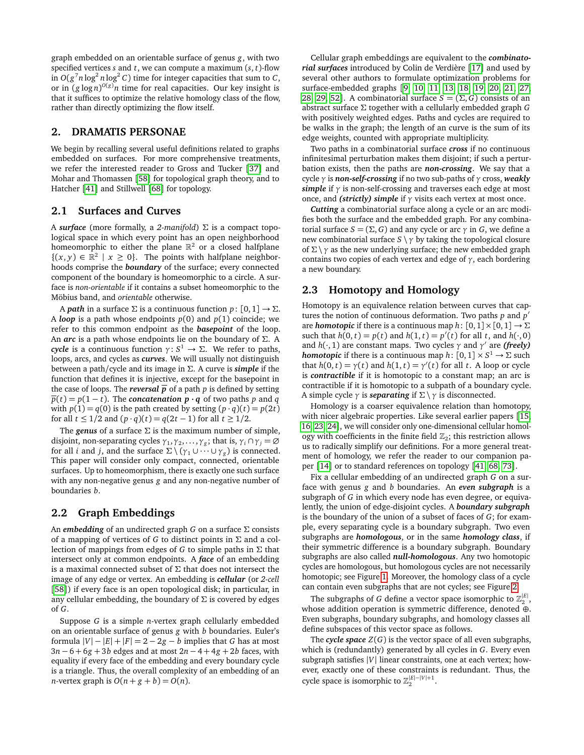graph embedded on an orientable surface of genus *g*, with two specified vertices *s* and *t*, we can compute a maximum (*s*, *t*)-flow in  $O(g^7 n \log^2 n \log^2 C)$  time for integer capacities that sum to *C*, or in (*g* log *n*) *<sup>O</sup>*(*g*)*n* time for real capacities. Our key insight is that it suffices to optimize the relative homology class of the flow, rather than directly optimizing the flow itself.

### <span id="page-2-0"></span>**2. DRAMATIS PERSONAE**

We begin by recalling several useful definitions related to graphs embedded on surfaces. For more comprehensive treatments, we refer the interested reader to Gross and Tucker [[37](#page-7-33)] and Mohar and Thomassen [[58](#page-8-25)] for topological graph theory, and to Hatcher [[41](#page-8-28)] and Stillwell [[68](#page-8-29)] for topology.

## **2.1 Surfaces and Curves**

A *surface* (more formally, a *2-manifold*) Σ is a compact topological space in which every point has an open neighborhood homeomorphic to either the plane  $\mathbb{R}^2$  or a closed halfplane  $\{(x, y) \in \mathbb{R}^2 \mid x \ge 0\}$ . The points with halfplane neighborhoods comprise the *boundary* of the surface; every connected component of the boundary is homeomorphic to a circle. A surface is *non-orientable* if it contains a subset homeomorphic to the Möbius band, and *orientable* otherwise.

A *path* in a surface  $\Sigma$  is a continuous function  $p: [0,1] \rightarrow \Sigma$ . A *loop* is a path whose endpoints  $p(0)$  and  $p(1)$  coincide; we refer to this common endpoint as the *basepoint* of the loop. An *arc* is a path whose endpoints lie on the boundary of Σ. A *cycle* is a continuous function  $\gamma: S^1 \to \Sigma$ . We refer to paths, loops, arcs, and cycles as *curves*. We will usually not distinguish between a path/cycle and its image in Σ. A curve is *simple* if the function that defines it is injective, except for the basepoint in the case of loops. The *reversal*  $\overline{p}$  of a path *p* is defined by setting  $\overline{p}(t) = p(1-t)$ . The *concatenation*  $\mathbf{p} \cdot \mathbf{q}$  of two paths *p* and *q* with  $p(1) = q(0)$  is the path created by setting  $(p \cdot q)(t) = p(2t)$ for all *t* ≤ 1/2 and  $(p \cdot q)(t) = q(2t - 1)$  for all  $t ≥ 1/2$ .

The *genus* of a surface  $\Sigma$  is the maximum number of simple, disjoint, non-separating cycles  $\gamma_1, \gamma_2, \ldots, \gamma_g$ ; that is,  $\gamma_i \cap \gamma_j = \emptyset$ for all *i* and *j*, and the surface  $\Sigma \setminus (\gamma_1 \cup \cdots \cup \gamma_g)$  is connected. This paper will consider only compact, connected, orientable surfaces. Up to homeomorphism, there is exactly one such surface with any non-negative genus *g* and any non-negative number of boundaries *b*.

#### **2.2 Graph Embeddings**

An *embedding* of an undirected graph *G* on a surface Σ consists of a mapping of vertices of *G* to distinct points in Σ and a collection of mappings from edges of *G* to simple paths in Σ that intersect only at common endpoints. A *face* of an embedding is a maximal connected subset of  $\Sigma$  that does not intersect the image of any edge or vertex. An embedding is *cellular* (or *2-cell* [[58](#page-8-25)]) if every face is an open topological disk; in particular, in any cellular embedding, the boundary of  $\Sigma$  is covered by edges of *G*.

Suppose *G* is a simple *n*-vertex graph cellularly embedded on an orientable surface of genus *g* with *b* boundaries. Euler's formula  $|V| - |E| + |F| = 2 - 2g - b$  implies that *G* has at most 3*n* − 6 + 6*g* + 3*b* edges and at most 2*n* − 4 + 4*g* + 2*b* faces, with equality if every face of the embedding and every boundary cycle is a triangle. Thus, the overall complexity of an embedding of an *n*-vertex graph is  $O(n + g + b) = O(n)$ .

Cellular graph embeddings are equivalent to the *combinatorial surfaces* introduced by Colin de Verdière [[17](#page-7-25)] and used by several other authors to formulate optimization problems for surface-embedded graphs [[9,](#page-7-0) [10,](#page-7-34) [11,](#page-7-20) [13,](#page-7-23) [18,](#page-7-24) [19,](#page-7-35) [20,](#page-7-26) [21,](#page-7-27) [27,](#page-7-21) [28,](#page-7-28) [29,](#page-7-36) [52](#page-8-26)]. A combinatorial surface  $S = (\Sigma, G)$  consists of an abstract surface Σ together with a cellularly embedded graph *G* with positively weighted edges. Paths and cycles are required to be walks in the graph; the length of an curve is the sum of its edge weights, counted with appropriate multiplicity.

Two paths in a combinatorial surface *cross* if no continuous infinitesimal perturbation makes them disjoint; if such a perturbation exists, then the paths are *non-crossing*. We say that a cycle *γ* is *non-self-crossing* if no two sub-paths of *γ* cross, *weakly simple* if *γ* is non-self-crossing and traverses each edge at most once, and *(strictly) simple* if *γ* visits each vertex at most once.

*Cutting* a combinatorial surface along a cycle or an arc modifies both the surface and the embedded graph. For any combinatorial surface  $S = (\Sigma, G)$  and any cycle or arc  $\gamma$  in *G*, we define a new combinatorial surface  $S \setminus \gamma$  by taking the topological closure of  $\Sigma \setminus \gamma$  as the new underlying surface; the new embedded graph contains two copies of each vertex and edge of *γ*, each bordering a new boundary.

# **2.3 Homotopy and Homology**

Homotopy is an equivalence relation between curves that captures the notion of continuous deformation. Two paths  $p$  and  $p'$ are *homotopic* if there is a continuous map  $h: [0,1] \times [0,1] \rightarrow \Sigma$ such that  $h(0, t) = p(t)$  and  $h(1, t) = p'(t)$  for all *t*, and  $h(\cdot, 0)$ and  $h(\cdot, 1)$  are constant maps. Two cycles  $\gamma$  and  $\gamma'$  are *(freely) homotopic* if there is a continuous map  $h \colon [0,1] \times S^1 \to \Sigma$  such that  $h(0, t) = \gamma(t)$  and  $h(1, t) = \gamma'(t)$  for all *t*. A loop or cycle is *contractible* if it is homotopic to a constant map; an arc is contractible if it is homotopic to a subpath of a boundary cycle. A simple cycle  $\gamma$  is *separating* if  $\Sigma \setminus \gamma$  is disconnected.

Homology is a coarser equivalence relation than homotopy, with nicer algebraic properties. Like several earlier papers [[15,](#page-7-29) [16,](#page-7-30) [23,](#page-7-31) [24](#page-7-18)], we will consider only one-dimensional cellular homology with coefficients in the finite field  $\mathbb{Z}_2$ ; this restriction allows us to radically simplify our definitions. For a more general treatment of homology, we refer the reader to our companion paper [[14](#page-7-32)] or to standard references on topology [[41,](#page-8-28) [68,](#page-8-29) [73](#page-8-30)].

Fix a cellular embedding of an undirected graph *G* on a surface with genus *g* and *b* boundaries. An *even subgraph* is a subgraph of *G* in which every node has even degree, or equivalently, the union of edge-disjoint cycles. A *boundary subgraph* is the boundary of the union of a subset of faces of *G*; for example, every separating cycle is a boundary subgraph. Two even subgraphs are *homologous*, or in the same *homology class*, if their symmetric difference is a boundary subgraph. Boundary subgraphs are also called *null-homologous*. Any two homotopic cycles are homologous, but homologous cycles are not necessarily homotopic; see Figure [1.](#page-3-1) Moreover, the homology class of a cycle can contain even subgraphs that are not cycles; see Figure [2.](#page-3-0)

The subgraphs of  $G$  define a vector space isomorphic to  $\mathbb{Z}_2^{|E|}$ , whose addition operation is symmetric difference, denoted ⊕. Even subgraphs, boundary subgraphs, and homology classes all define subspaces of this vector space as follows.

The **cycle space**  $Z(G)$  is the vector space of all even subgraphs, which is (redundantly) generated by all cycles in *G*. Every even subgraph satisfies |*V*| linear constraints, one at each vertex; however, exactly one of these constraints is redundant. Thus, the cycle space is isomorphic to  $\mathbb{Z}_2^{|E|-|V|+1}$ .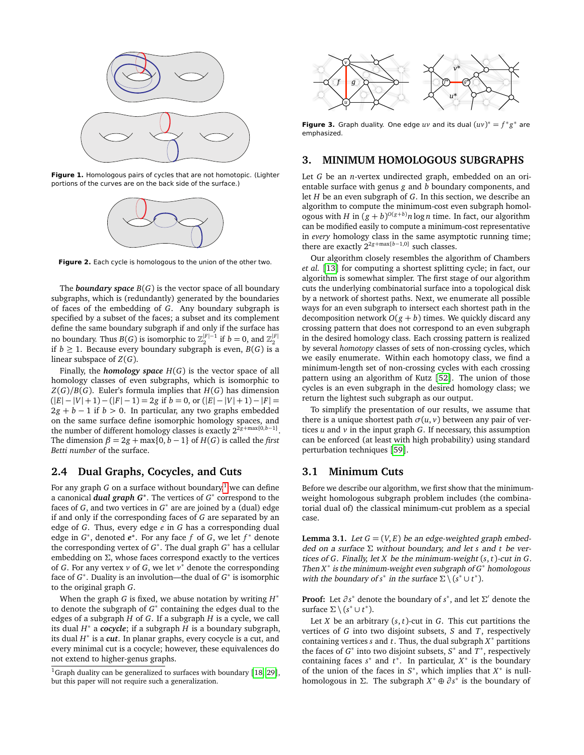

**Figure 1.** Homologous pairs of cycles that are not homotopic. (Lighter portions of the curves are on the back side of the surface.)

<span id="page-3-1"></span>

<span id="page-3-0"></span>**Figure 2.** Each cycle is homologous to the union of the other two.

The **boundary space**  $B(G)$  is the vector space of all boundary subgraphs, which is (redundantly) generated by the boundaries of faces of the embedding of *G*. Any boundary subgraph is specified by a subset of the faces; a subset and its complement define the same boundary subgraph if and only if the surface has no boundary. Thus  $B(G)$  is isomorphic to  $\mathbb{Z}_2^{|F|-1}$  if  $b=0,$  and  $\mathbb{Z}_2^{|F|}$ if  $b \geq 1$ . Because every boundary subgraph is even,  $B(G)$  is a linear subspace of *Z*(*G*).

Finally, the *homology space*  $H(G)$  is the vector space of all homology classes of even subgraphs, which is isomorphic to  $Z(G)/B(G)$ . Euler's formula implies that  $H(G)$  has dimension  $(|E| - |V| + 1) - (|F| - 1) = 2g$  if  $b = 0$ , or  $(|E| - |V| + 1) - |F| =$  $2g + b - 1$  if  $b > 0$ . In particular, any two graphs embedded on the same surface define isomorphic homology spaces, and the number of different homology classes is exactly  $2^{2g + max\{0, b-1\}}$ . The dimension  $\beta = 2g + \max\{0, b - 1\}$  of  $H(G)$  is called the *first Betti number* of the surface.

## **2.4 Dual Graphs, Cocycles, and Cuts**

For any graph *G* on a surface without boundary,<sup>[1](#page-3-2)</sup> we can define a canonical *dual graph G***<sup>∗</sup>** . The vertices of *G* ∗ correspond to the faces of  $G$ , and two vertices in  $G^*$  are are joined by a (dual) edge if and only if the corresponding faces of *G* are separated by an edge of *G*. Thus, every edge *e* in *G* has a corresponding dual edge in *G* ∗ , denoted *e* **∗** . For any face *f* of *G*, we let *f* <sup>∗</sup> denote the corresponding vertex of *G* ∗ . The dual graph *G* <sup>∗</sup> has a cellular embedding on  $\Sigma$ , whose faces correspond exactly to the vertices of *G*. For any vertex  $v$  of *G*, we let  $v^*$  denote the corresponding face of *G*<sup>\*</sup>. Duality is an involution—the dual of *G*<sup>\*</sup> is isomorphic to the original graph *G*.

When the graph *G* is fixed, we abuse notation by writing *H* ∗ to denote the subgraph of  $G^*$  containing the edges dual to the edges of a subgraph *H* of *G*. If a subgraph *H* is a cycle, we call its dual *H* ∗ a *cocycle*; if a subgraph *H* is a boundary subgraph, its dual *H* ∗ is a *cut*. In planar graphs, every cocycle is a cut, and every minimal cut is a cocycle; however, these equivalences do not extend to higher-genus graphs.



**Figure 3.** Graph duality. One edge  $uv$  and its dual  $(uv)^* = f^*g^*$  are emphasized.

## **3. MINIMUM HOMOLOGOUS SUBGRAPHS**

Let *G* be an *n*-vertex undirected graph, embedded on an orientable surface with genus *g* and *b* boundary components, and let *H* be an even subgraph of *G*. In this section, we describe an algorithm to compute the minimum-cost even subgraph homologous with *H* in  $(g + b)^{O(g + b)} n \log n$  time. In fact, our algorithm can be modified easily to compute a minimum-cost representative in *every* homology class in the same asymptotic running time; there are exactly 2<sup>2</sup>*g*+max{*b*−1,0} such classes.

Our algorithm closely resembles the algorithm of Chambers *et al.* [[13](#page-7-23)] for computing a shortest splitting cycle; in fact, our algorithm is somewhat simpler. The first stage of our algorithm cuts the underlying combinatorial surface into a topological disk by a network of shortest paths. Next, we enumerate all possible ways for an even subgraph to intersect each shortest path in the decomposition network  $O(g + b)$  times. We quickly discard any crossing pattern that does not correspond to an even subgraph in the desired homology class. Each crossing pattern is realized by several *homotopy* classes of sets of non-crossing cycles, which we easily enumerate. Within each homotopy class, we find a minimum-length set of non-crossing cycles with each crossing pattern using an algorithm of Kutz [[52](#page-8-26)]. The union of those cycles is an even subgraph in the desired homology class; we return the lightest such subgraph as our output.

To simplify the presentation of our results, we assume that there is a unique shortest path  $\sigma(u, v)$  between any pair of vertices *u* and *v* in the input graph *G*. If necessary, this assumption can be enforced (at least with high probability) using standard perturbation techniques [[59](#page-8-31)].

## **3.1 Minimum Cuts**

Before we describe our algorithm, we first show that the minimumweight homologous subgraph problem includes (the combinatorial dual of) the classical minimum-cut problem as a special case.

**Lemma 3.1.** Let  $G = (V, E)$  be an edge-weighted graph embedded on a surface Σ without boundary, and let *s* and *t* be vertices of *G*. Finally, let *X* be the minimum-weight (*s*, *t*)-cut in *G*. Then *X* ∗ is the minimum-weight even subgraph of *G* <sup>∗</sup> homologous with the boundary of  $s^*$  in the surface  $\Sigma \setminus (s^* \cup t^*)$ .

**Proof:** Let  $∂s$ <sup>\*</sup> denote the boundary of *s*<sup>\*</sup>, and let Σ' denote the surface  $\Sigma \setminus (s^* \cup t^*)$ .

Let *X* be an arbitrary (*s*, *t*)-cut in *G*. This cut partitions the vertices of *G* into two disjoint subsets, *S* and *T*, respectively containing vertices *s* and *t*. Thus, the dual subgraph *X* <sup>∗</sup> partitions the faces of  $G^*$  into two disjoint subsets,  $S^*$  and  $T^*$ , respectively containing faces  $s^*$  and  $t^*$ . In particular,  $X^*$  is the boundary of the union of the faces in  $S^*$ , which implies that  $X^*$  is nullhomologous in Σ. The subgraph  $X^* \oplus \partial s^*$  is the boundary of

<span id="page-3-2"></span><sup>&</sup>lt;sup>1</sup>Graph duality can be generalized to surfaces with boundary [[18,](#page-7-24) [29](#page-7-36)], but this paper will not require such a generalization.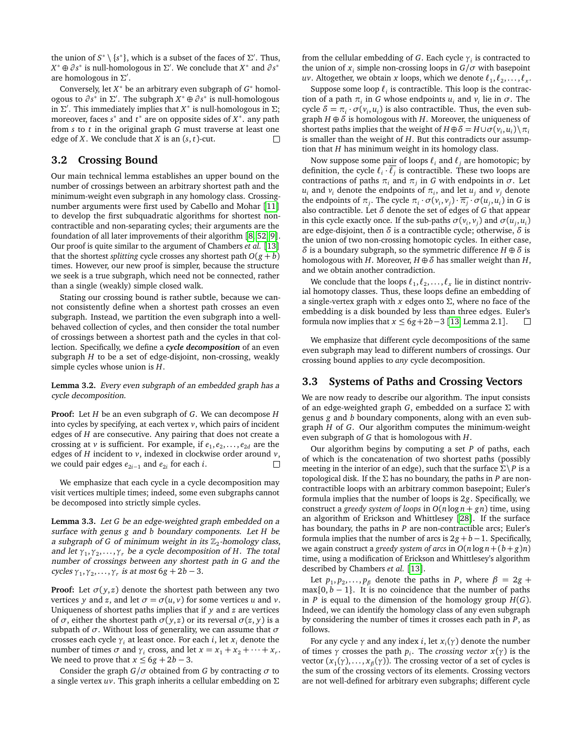the union of  $S^* \setminus \{s^*\}$ , which is a subset of the faces of  $\Sigma'$ . Thus,  $X^* \oplus \partial s^*$  is null-homologous in  $\Sigma'$ . We conclude that  $X^*$  and  $\partial s^*$ are homologous in  $\Sigma'.$ 

Conversely, let *X* <sup>∗</sup> be an arbitrary even subgraph of *G* <sup>∗</sup> homologous to *∂ s* ∗ in Σ 0 . The subgraph *X* <sup>∗</sup> ⊕ *∂ s* ∗ is null-homologous in  $\Sigma'$ . This immediately implies that  $X^*$  is null-homologous in  $\Sigma$ ; moreover, faces *s*<sup>\*</sup> and *t*<sup>\*</sup> are on opposite sides of *X*<sup>\*</sup>. any path from *s* to *t* in the original graph *G* must traverse at least one edge of *X*. We conclude that *X* is an (*s*, *t*)-cut. П

#### **3.2 Crossing Bound**

Our main technical lemma establishes an upper bound on the number of crossings between an arbitrary shortest path and the minimum-weight even subgraph in any homology class. Crossingnumber arguments were first used by Cabello and Mohar [[11](#page-7-20)] to develop the first subquadratic algorithms for shortest noncontractible and non-separating cycles; their arguments are the foundation of all later improvements of their algorithm [[8,](#page-7-19) [52,](#page-8-26) [9](#page-7-0)]. Our proof is quite similar to the argument of Chambers *et al.* [[13](#page-7-23)] that the shortest *splitting* cycle crosses any shortest path  $O(g + b)$ times. However, our new proof is simpler, because the structure we seek is a true subgraph, which need not be connected, rather than a single (weakly) simple closed walk.

Stating our crossing bound is rather subtle, because we cannot consistently define when a shortest path crosses an even subgraph. Instead, we partition the even subgraph into a wellbehaved collection of cycles, and then consider the total number of crossings between a shortest path and the cycles in that collection. Specifically, we define a *cycle decomposition* of an even subgraph *H* to be a set of edge-disjoint, non-crossing, weakly simple cycles whose union is *H*.

**Lemma 3.2.** Every even subgraph of an embedded graph has a cycle decomposition.

**Proof:** Let *H* be an even subgraph of *G*. We can decompose *H* into cycles by specifying, at each vertex *v*, which pairs of incident edges of *H* are consecutive. Any pairing that does not create a crossing at *v* is sufficient. For example, if  $e_1, e_2, \ldots, e_{2d}$  are the edges of *H* incident to *v*, indexed in clockwise order around *v*,  $\Box$ we could pair edges *e*<sup>2</sup>*i*−<sup>1</sup> and *e*<sup>2</sup>*<sup>i</sup>* for each *i*.

We emphasize that each cycle in a cycle decomposition may visit vertices multiple times; indeed, some even subgraphs cannot be decomposed into strictly simple cycles.

<span id="page-4-0"></span>**Lemma 3.3.** Let *G* be an edge-weighted graph embedded on a surface with genus *g* and *b* boundary components. Let *H* be a subgraph of  $G$  of minimum weight in its  $\mathbb{Z}_2$ -homology class, and let *γ*<sup>1</sup> ,*γ*<sup>2</sup> , . . . ,*γ<sup>r</sup>* be a cycle decomposition of *H*. The total number of crossings between any shortest path in *G* and the cycles  $\gamma_1, \gamma_2, \ldots, \gamma_r$  is at most 6*g* + 2*b* − 3.

**Proof:** Let  $\sigma(y, z)$  denote the shortest path between any two vertices *y* and *z*, and let  $\sigma = \sigma(u, v)$  for some vertices *u* and *v*. Uniqueness of shortest paths implies that if *y* and *z* are vertices of *σ*, either the shortest path *σ*(*y*, *z*) or its reversal *σ*(*z*, *y*) is a subpath of *σ*. Without loss of generality, we can assume that *σ* crosses each cycle  $\gamma_i$  at least once. For each *i*, let  $x_i$  denote the number of times  $\sigma$  and  $\gamma$ <sup>*i*</sup> cross, and let  $x = x_1 + x_2 + \cdots + x_r$ . We need to prove that  $x \leq 6g + 2b - 3$ .

Consider the graph  $G/\sigma$  obtained from *G* by contracting  $\sigma$  to a single vertex *uv*. This graph inherits a cellular embedding on Σ from the cellular embedding of *G*. Each cycle *γ<sup>i</sup>* is contracted to the union of  $x_i$  simple non-crossing loops in  $G/\sigma$  with basepoint  $uv$ . Altogether, we obtain  $x$  loops, which we denote  $\ell_1, \ell_2, \ldots, \ell_x$ .

Suppose some loop  $\ell_i$  is contractible. This loop is the contraction of a path  $\pi$ <sup>*i*</sup> in *G* whose endpoints  $u$ <sup>*i*</sup> and  $v$ <sup>*i*</sup> lie in  $\sigma$ . The cycle  $\delta = \pi_i \cdot \sigma(v_i, u_i)$  is also contractible. Thus, the even subgraph  $H \oplus \delta$  is homologous with  $H$ . Moreover, the uniqueness of shortest paths implies that the weight of  $H \oplus \delta = H \cup \sigma(v_i, u_i) \setminus \pi_i$ is smaller than the weight of *H*. But this contradicts our assumption that *H* has minimum weight in its homology class.

Now suppose some pair of loops  $\ell_i$  and  $\ell_j$  are homotopic; by definition, the cycle  $\ell_i \cdot \overline{\ell_j}$  is contractible. These two loops are contractions of paths  $\pi_i$  and  $\pi_j$  in *G* with endpoints in  $\sigma$ . Let *u*<sub>*i*</sub> and *v*<sub>*i*</sub> denote the endpoints of  $π<sub>i</sub>$ , and let  $u<sub>j</sub>$  and  $v<sub>j</sub>$  denote the endpoints of  $\pi_j$ . The cycle  $\pi_i \cdot \sigma(v_i, v_j) \cdot \overline{\pi_j} \cdot \sigma(u_j, u_i)$  in *G* is also contractible. Let *δ* denote the set of edges of *G* that appear in this cycle exactly once. If the sub-paths  $\sigma(v_i, v_j)$  and  $\sigma(u_j, u_i)$ are edge-disjoint, then *δ* is a contractible cycle; otherwise, *δ* is the union of two non-crossing homotopic cycles. In either case, *δ* is a boundary subgraph, so the symmetric difference *H* ⊕ *δ* is homologous with *H*. Moreover, *H* ⊕*δ* has smaller weight than *H*, and we obtain another contradiction.

We conclude that the loops  $\ell_1, \ell_2, \ldots, \ell_x$  lie in distinct nontrivial homotopy classes. Thus, these loops define an embedding of a single-vertex graph with *x* edges onto Σ, where no face of the embedding is a disk bounded by less than three edges. Euler's formula now implies that  $x \le 6g+2b-3$  [[13,](#page-7-23) Lemma 2.1].

We emphasize that different cycle decompositions of the same even subgraph may lead to different numbers of crossings. Our crossing bound applies to *any* cycle decomposition.

## **3.3 Systems of Paths and Crossing Vectors**

We are now ready to describe our algorithm. The input consists of an edge-weighted graph *G*, embedded on a surface Σ with genus *g* and *b* boundary components, along with an even subgraph *H* of *G*. Our algorithm computes the minimum-weight even subgraph of *G* that is homologous with *H*.

Our algorithm begins by computing a set *P* of paths, each of which is the concatenation of two shortest paths (possibly meeting in the interior of an edge), such that the surface  $\Sigma \backslash P$  is a topological disk. If the  $\Sigma$  has no boundary, the paths in *P* are noncontractible loops with an arbitrary common basepoint; Euler's formula implies that the number of loops is 2*g*. Specifically, we construct a *greedy system of loops* in  $O(n \log n + gn)$  time, using an algorithm of Erickson and Whittlesey [[28](#page-7-28)]. If the surface has boundary, the paths in *P* are non-contractible arcs; Euler's formula implies that the number of arcs is  $2g + b - 1$ . Specifically, we again construct a *greedy system of arcs* in  $O(n \log n + (b + g)n)$ time, using a modification of Erickson and Whittlesey's algorithm described by Chambers *et al.* [[13](#page-7-23)].

Let  $p_1, p_2, \ldots, p_\beta$  denote the paths in *P*, where  $\beta = 2g +$ max $\{0, b - 1\}$ . It is no coincidence that the number of paths in *P* is equal to the dimension of the homology group *H*(*G*). Indeed, we can identify the homology class of any even subgraph by considering the number of times it crosses each path in *P*, as follows.

For any cycle *γ* and any index *i*, let *x<sup>i</sup>* (*γ*) denote the number of times  $\gamma$  crosses the path  $p_i$ . The *crossing vector*  $x(\gamma)$  is the vector (*x*<sup>1</sup> (*γ*), . . . , *x<sup>β</sup>* (*γ*)). The crossing vector of a set of cycles is the sum of the crossing vectors of its elements. Crossing vectors are not well-defined for arbitrary even subgraphs; different cycle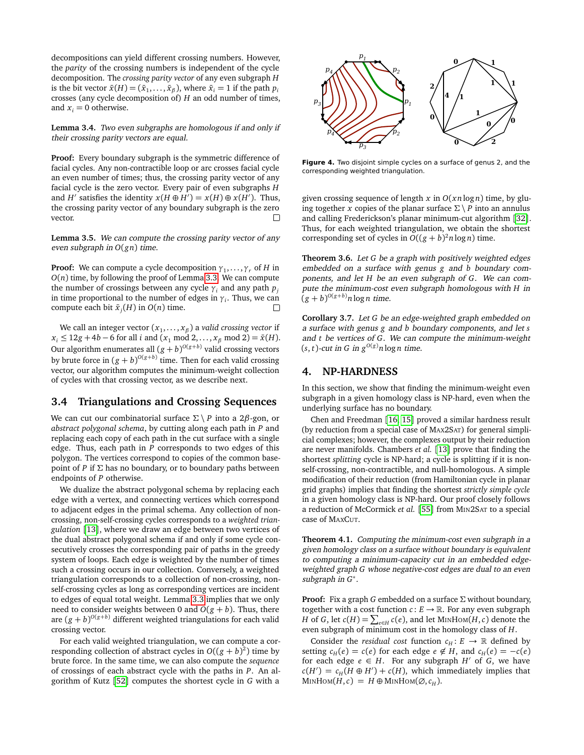decompositions can yield different crossing numbers. However, the *parity* of the crossing numbers is independent of the cycle decomposition. The *crossing parity vector* of any even subgraph *H* is the bit vector  $\bar{x}(H) = (\bar{x}_1, \ldots, \bar{x}_\beta)$ , where  $\bar{x}_i = 1$  if the path  $p_i$ crosses (any cycle decomposition of) *H* an odd number of times, and  $x_i = 0$  otherwise.

**Lemma 3.4.** Two even subgraphs are homologous if and only if their crossing parity vectors are equal.

**Proof:** Every boundary subgraph is the symmetric difference of facial cycles. Any non-contractible loop or arc crosses facial cycle an even number of times; thus, the crossing parity vector of any facial cycle is the zero vector. Every pair of even subgraphs *H* and *H'* satisfies the identity  $x(H \oplus H') = x(H) \oplus x(H')$ . Thus, the crossing parity vector of any boundary subgraph is the zero vector.  $\Box$ 

**Lemma 3.5.** We can compute the crossing parity vector of any even subgraph in *O*(*gn*) time.

**Proof:** We can compute a cycle decomposition  $\gamma_1, \ldots, \gamma_r$  of *H* in *O*(*n*) time, by following the proof of Lemma [3.3.](#page-4-0) We can compute the number of crossings between any cycle  $\gamma_i$  and any path  $p_j$ in time proportional to the number of edges in *γ<sup>i</sup>* . Thus, we can compute each bit  $\bar{x}_j(H)$  in  $O(n)$  time. П

We call an integer vector (*x*<sup>1</sup> , . . . , *x<sup>β</sup>* ) a *valid crossing vector* if *x*<sub>*i*</sub> ≤ 12*g* + 4*b* − 6 for all *i* and (*x*<sub>1</sub> mod 2, . . . , *x<sub>β</sub>* mod 2) =  $\bar{x}$ (*H*). Our algorithm enumerates all  $(g + b)^{O(g + b)}$  valid crossing vectors by brute force in  $(g + b)^{O(g + b)}$  time. Then for each valid crossing vector, our algorithm computes the minimum-weight collection of cycles with that crossing vector, as we describe next.

## **3.4 Triangulations and Crossing Sequences**

We can cut our combinatorial surface  $\Sigma \setminus P$  into a 2 $\beta$ -gon, or *abstract polygonal schema*, by cutting along each path in *P* and replacing each copy of each path in the cut surface with a single edge. Thus, each path in *P* corresponds to two edges of this polygon. The vertices correspond to copies of the common basepoint of *P* if  $\Sigma$  has no boundary, or to boundary paths between endpoints of *P* otherwise.

We dualize the abstract polygonal schema by replacing each edge with a vertex, and connecting vertices which correspond to adjacent edges in the primal schema. Any collection of noncrossing, non-self-crossing cycles corresponds to a *weighted triangulation* [[13](#page-7-23)], where we draw an edge between two vertices of the dual abstract polygonal schema if and only if some cycle consecutively crosses the corresponding pair of paths in the greedy system of loops. Each edge is weighted by the number of times such a crossing occurs in our collection. Conversely, a weighted triangulation corresponds to a collection of non-crossing, nonself-crossing cycles as long as corresponding vertices are incident to edges of equal total weight. Lemma [3.3](#page-4-0) implies that we only need to consider weights between 0 and  $O(g + b)$ . Thus, there are  $(g + b)^{O(g + b)}$  different weighted triangulations for each valid crossing vector.

For each valid weighted triangulation, we can compute a corresponding collection of abstract cycles in  $O((g + b)^2)$  time by brute force. In the same time, we can also compute the *sequence* of crossings of each abstract cycle with the paths in *P*. An algorithm of Kutz [[52](#page-8-26)] computes the shortest cycle in *G* with a



**Figure 4.** Two disjoint simple cycles on a surface of genus 2, and the corresponding weighted triangulation.

given crossing sequence of length  $x$  in  $O(xn \log n)$  time, by gluing together *x* copies of the planar surface  $\Sigma \setminus P$  into an annulus and calling Frederickson's planar minimum-cut algorithm [[32](#page-7-10)]. Thus, for each weighted triangulation, we obtain the shortest corresponding set of cycles in  $O((g + b)^2 n \log n)$  time.

**Theorem 3.6.** Let *G* be a graph with positively weighted edges embedded on a surface with genus *g* and *b* boundary components, and let *H* be an even subgraph of *G*. We can compute the minimum-cost even subgraph homologous with *H* in  $(g + b)^{O(g + b)} n \log n$  time.

**Corollary 3.7.** Let *G* be an edge-weighted graph embedded on a surface with genus *g* and *b* boundary components, and let *s* and *t* be vertices of *G*. We can compute the minimum-weight  $(s, t)$ -cut in *G* in  $g^{O(g)}n \log n$  time.

# **4. NP-HARDNESS**

In this section, we show that finding the minimum-weight even subgraph in a given homology class is NP-hard, even when the underlying surface has no boundary.

Chen and Freedman [[16,](#page-7-30) [15](#page-7-29)] proved a similar hardness result (by reduction from a special case of MAX2SAT) for general simplicial complexes; however, the complexes output by their reduction are never manifolds. Chambers *et al.* [[13](#page-7-23)] prove that finding the shortest *splitting* cycle is NP-hard; a cycle is splitting if it is nonself-crossing, non-contractible, and null-homologous. A simple modification of their reduction (from Hamiltonian cycle in planar grid graphs) implies that finding the shortest *strictly simple cycle* in a given homology class is NP-hard. Our proof closely follows a reduction of McCormick *et al.* [[55](#page-8-32)] from MIN2SAT to a special case of MAXCUT.

**Theorem 4.1.** Computing the minimum-cost even subgraph in a given homology class on a surface without boundary is equivalent to computing a minimum-capacity cut in an embedded edgeweighted graph *G* whose negative-cost edges are dual to an even subgraph in *G* ∗ .

**Proof:** Fix a graph *G* embedded on a surface Σ without boundary, together with a cost function  $c: E \to \mathbb{R}$ . For any even subgraph *H* of *G*, let  $c(H) = \sum_{e \in H} c(e)$ , and let MINHOM(*H*, *c*) denote the even subgraph of minimum cost in the homology class of *H*.

Consider the *residual cost* function  $c_H : E \to \mathbb{R}$  defined by setting  $c_H(e) = c(e)$  for each edge  $e \notin H$ , and  $c_H(e) = -c(e)$ for each edge  $e \in H$ . For any subgraph  $H'$  of  $G$ , we have  $c(H') = c_H(H \oplus H') + c(H)$ , which immediately implies that  $MINHOM(H, c) = H \oplus MINHOM(\emptyset, c_H).$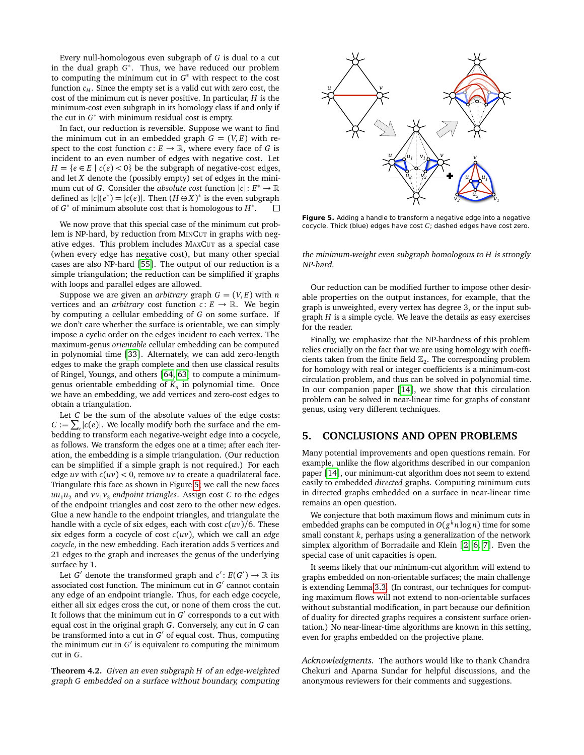Every null-homologous even subgraph of *G* is dual to a cut in the dual graph *G* ∗ . Thus, we have reduced our problem to computing the minimum cut in  $G^*$  with respect to the cost function  $c_H$ . Since the empty set is a valid cut with zero cost, the cost of the minimum cut is never positive. In particular, *H* is the minimum-cost even subgraph in its homology class if and only if the cut in  $G^*$  with minimum residual cost is empty.

In fact, our reduction is reversible. Suppose we want to find the minimum cut in an embedded graph  $G = (V, E)$  with respect to the cost function  $c: E \to \mathbb{R}$ , where every face of *G* is incident to an even number of edges with negative cost. Let  $H = \{e \in E \mid c(e) < 0\}$  be the subgraph of negative-cost edges, and let *X* denote the (possibly empty) set of edges in the minimum cut of *G*. Consider the *absolute cost* function  $|c|: E^* \to \mathbb{R}$ defined as  $|c|(e^*) = |c(e)|$ . Then  $(H \oplus X)^*$  is the even subgraph of  $G^*$  of minimum absolute cost that is homologous to  $H^*$ .  $\Box$ 

We now prove that this special case of the minimum cut problem is NP-hard, by reduction from MINCUT in graphs with negative edges. This problem includes MAXCUT as a special case (when every edge has negative cost), but many other special cases are also NP-hard [[55](#page-8-32)]. The output of our reduction is a simple triangulation; the reduction can be simplified if graphs with loops and parallel edges are allowed.

Suppose we are given an *arbitrary* graph  $G = (V, E)$  with *n* vertices and an *arbitrary* cost function  $c: E \to \mathbb{R}$ . We begin by computing a cellular embedding of *G* on some surface. If we don't care whether the surface is orientable, we can simply impose a cyclic order on the edges incident to each vertex. The maximum-genus *orientable* cellular embedding can be computed in polynomial time [[33](#page-7-37)]. Alternately, we can add zero-length edges to make the graph complete and then use classical results of Ringel, Youngs, and others [[64,](#page-8-33) [63](#page-8-34)] to compute a minimumgenus orientable embedding of *K<sup>n</sup>* in polynomial time. Once we have an embedding, we add vertices and zero-cost edges to obtain a triangulation.

Let *C* be the sum of the absolute values of the edge costs:  $C := \sum_{e} |c(e)|$ . We locally modify both the surface and the embedding to transform each negative-weight edge into a cocycle, as follows. We transform the edges one at a time; after each iteration, the embedding is a simple triangulation. (Our reduction can be simplified if a simple graph is not required.) For each edge *uv* with  $c(uv) < 0$ , remove *uv* to create a quadrilateral face. Triangulate this face as shown in Figure [5;](#page-6-0) we call the new faces  $uu_1u_2$  and  $vv_1v_2$  *endpoint triangles*. Assign cost *C* to the edges of the endpoint triangles and cost zero to the other new edges. Glue a new handle to the endpoint triangles, and triangulate the handle with a cycle of six edges, each with cost *c*(*uv*)*/*6. These six edges form a cocycle of cost *c*(*uv*), which we call an *edge cocycle*, in the new embedding. Each iteration adds 5 vertices and 21 edges to the graph and increases the genus of the underlying surface by 1.

Let *G*<sup> $\prime$ </sup> denote the transformed graph and *c*<sup> $\prime$ </sup>: *E*(*G*<sup> $\prime$ </sup>)  $\rightarrow \mathbb{R}$  its associated cost function. The minimum cut in  $G'$  cannot contain any edge of an endpoint triangle. Thus, for each edge cocycle, either all six edges cross the cut, or none of them cross the cut. It follows that the minimum cut in  $G'$  corresponds to a cut with equal cost in the original graph *G*. Conversely, any cut in *G* can be transformed into a cut in  $G'$  of equal cost. Thus, computing the minimum cut in  $G'$  is equivalent to computing the minimum cut in *G*.

**Theorem 4.2.** Given an even subgraph *H* of an edge-weighted graph *G* embedded on a surface without boundary, computing



<span id="page-6-0"></span>**Figure 5.** Adding a handle to transform a negative edge into a negative cocycle. Thick (blue) edges have cost *C*; dashed edges have cost zero.

the minimum-weight even subgraph homologous to *H* is strongly NP-hard.

Our reduction can be modified further to impose other desirable properties on the output instances, for example, that the graph is unweighted, every vertex has degree 3, or the input subgraph *H* is a simple cycle. We leave the details as easy exercises for the reader.

Finally, we emphasize that the NP-hardness of this problem relies crucially on the fact that we are using homology with coefficients taken from the finite field  $\mathbb{Z}_2$ . The corresponding problem for homology with real or integer coefficients is a minimum-cost circulation problem, and thus can be solved in polynomial time. In our companion paper  $[14]$  $[14]$  $[14]$ , we show that this circulation problem can be solved in near-linear time for graphs of constant genus, using very different techniques.

### **5. CONCLUSIONS AND OPEN PROBLEMS**

Many potential improvements and open questions remain. For example, unlike the flow algorithms described in our companion paper [[14](#page-7-32)], our minimum-cut algorithm does not seem to extend easily to embedded *directed* graphs. Computing minimum cuts in directed graphs embedded on a surface in near-linear time remains an open question.

We conjecture that both maximum flows and minimum cuts in embedded graphs can be computed in *O*(*g <sup>k</sup>n* log *n*) time for some small constant *k*, perhaps using a generalization of the network simplex algorithm of Borradaile and Klein [[2,](#page-7-11) [6,](#page-7-12) [7](#page-7-13)]. Even the special case of unit capacities is open.

It seems likely that our minimum-cut algorithm will extend to graphs embedded on non-orientable surfaces; the main challenge is extending Lemma [3.3.](#page-4-0) (In contrast, our techniques for computing maximum flows will not extend to non-orientable surfaces without substantial modification, in part because our definition of duality for directed graphs requires a consistent surface orientation.) No near-linear-time algorithms are known in this setting, even for graphs embedded on the projective plane.

*Acknowledgments.* The authors would like to thank Chandra Chekuri and Aparna Sundar for helpful discussions, and the anonymous reviewers for their comments and suggestions.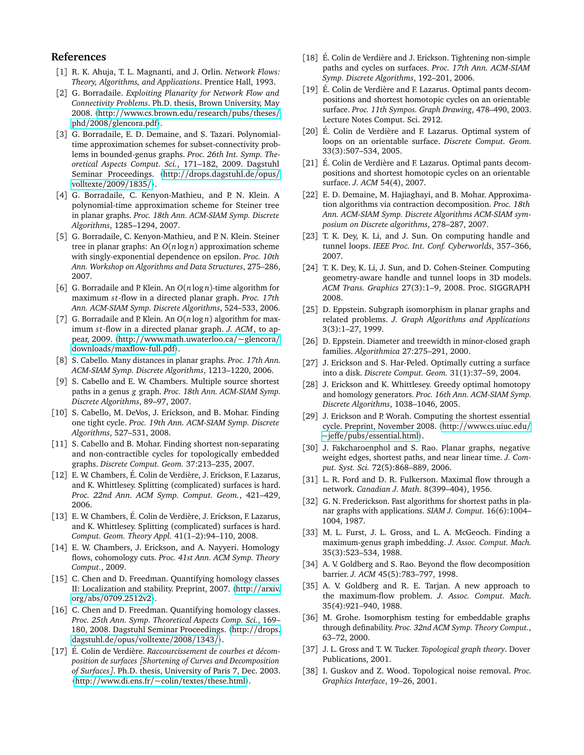# **References**

- <span id="page-7-16"></span>[1] R. K. Ahuja, T. L. Magnanti, and J. Orlin. *Network Flows: Theory, Algorithms, and Applications*. Prentice Hall, 1993.
- <span id="page-7-11"></span>[2] G. Borradaile. *Exploiting Planarity for Network Flow and Connectivity Problems*. Ph.D. thesis, Brown University, May 2008. 〈http://[www.cs.brown.edu](http://www.cs.brown.edu/research/pubs/theses/phd/2008/glencora.pdf)/research/pubs/theses/ phd/2008/[glencora.pdf](http://www.cs.brown.edu/research/pubs/theses/phd/2008/glencora.pdf)〉.
- <span id="page-7-5"></span>[3] G. Borradaile, E. D. Demaine, and S. Tazari. Polynomialtime approximation schemes for subset-connectivity problems in bounded-genus graphs. *Proc. 26th Int. Symp. Theoretical Aspects Comput. Sci.*, 171–182, 2009. Dagstuhl Seminar Proceedings. 〈http://[drops.dagstuhl.de](http://drops.dagstuhl.de/opus/volltexte/2009/1835/)/opus/ [volltexte](http://drops.dagstuhl.de/opus/volltexte/2009/1835/)/2009/1835/〉.
- <span id="page-7-6"></span>[4] G. Borradaile, C. Kenyon-Mathieu, and P. N. Klein. A polynomial-time approximation scheme for Steiner tree in planar graphs. *Proc. 18th Ann. ACM-SIAM Symp. Discrete Algorithms*, 1285–1294, 2007.
- <span id="page-7-7"></span>[5] G. Borradaile, C. Kenyon-Mathieu, and P. N. Klein. Steiner tree in planar graphs: An *O*(*n* log *n*) approximation scheme with singly-exponential dependence on epsilon. *Proc. 10th Ann. Workshop on Algorithms and Data Structures*, 275–286, 2007.
- <span id="page-7-12"></span>[6] G. Borradaile and P. Klein. An *O*(*n* log *n*)-time algorithm for maximum *s t*-flow in a directed planar graph. *Proc. 17th Ann. ACM-SIAM Symp. Discrete Algorithms*, 524–533, 2006.
- <span id="page-7-13"></span>[7] G. Borradaile and P. Klein. An *O*(*n* log *n*) algorithm for maximum *s t*-flow in a directed planar graph. *J. ACM*, to appear, 2009. 〈http://[www.math.uwaterloo.ca](http://www.math.uwaterloo.ca/~glencora/downloads/maxflow-full.pdf)/~glencora/ downloads/[maxflow-full.pdf](http://www.math.uwaterloo.ca/~glencora/downloads/maxflow-full.pdf)〉.
- <span id="page-7-19"></span>[8] S. Cabello. Many distances in planar graphs. *Proc. 17th Ann. ACM-SIAM Symp. Discrete Algorithms*, 1213–1220, 2006.
- <span id="page-7-0"></span>[9] S. Cabello and E. W. Chambers. Multiple source shortest paths in a genus *g* graph. *Proc. 18th Ann. ACM-SIAM Symp. Discrete Algorithms*, 89–97, 2007.
- <span id="page-7-34"></span>[10] S. Cabello, M. DeVos, J. Erickson, and B. Mohar. Finding one tight cycle. *Proc. 19th Ann. ACM-SIAM Symp. Discrete Algorithms*, 527–531, 2008.
- <span id="page-7-20"></span>[11] S. Cabello and B. Mohar. Finding shortest non-separating and non-contractible cycles for topologically embedded graphs. *Discrete Comput. Geom.* 37:213–235, 2007.
- <span id="page-7-22"></span>[12] E. W. Chambers, É. Colin de Verdière, J. Erickson, F. Lazarus, and K. Whittlesey. Splitting (complicated) surfaces is hard. *Proc. 22nd Ann. ACM Symp. Comput. Geom.*, 421–429, 2006.
- <span id="page-7-23"></span>[13] E. W. Chambers, É. Colin de Verdière, J. Erickson, F. Lazarus, and K. Whittlesey. Splitting (complicated) surfaces is hard. *Comput. Geom. Theory Appl.* 41(1–2):94–110, 2008.
- <span id="page-7-32"></span>[14] E. W. Chambers, J. Erickson, and A. Nayyeri. Homology flows, cohomology cuts. *Proc. 41st Ann. ACM Symp. Theory Comput.*, 2009.
- <span id="page-7-29"></span>[15] C. Chen and D. Freedman. Quantifying homology classes II: Localization and stability. Preprint, 2007. 〈http://[arxiv.](http://arxiv.org/abs/0709.2512v2) org/abs/[0709.2512v2](http://arxiv.org/abs/0709.2512v2)〉.
- <span id="page-7-30"></span>[16] C. Chen and D. Freedman. Quantifying homology classes. *Proc. 25th Ann. Symp. Theoretical Aspects Comp. Sci.*, 169– 180, 2008. Dagstuhl Seminar Proceedings. 〈http://[drops.](http://drops.dagstuhl.de/opus/volltexte/2008/1343/) [dagstuhl.de](http://drops.dagstuhl.de/opus/volltexte/2008/1343/)/opus/volltexte/2008/1343/〉.
- <span id="page-7-25"></span>[17] É. Colin de Verdière. *Raccourcissement de courbes et décomposition de surfaces [Shortening of Curves and Decomposition of Surfaces]*. Ph.D. thesis, University of Paris 7, Dec. 2003. 〈http://[www.di.ens.fr](http://www.di.ens.fr/~colin/textes/these.html)/~colin/textes/these.html〉.
- <span id="page-7-24"></span>[18] É. Colin de Verdière and J. Erickson. Tightening non-simple paths and cycles on surfaces. *Proc. 17th Ann. ACM-SIAM Symp. Discrete Algorithms*, 192–201, 2006.
- <span id="page-7-35"></span>[19] É. Colin de Verdière and F. Lazarus. Optimal pants decompositions and shortest homotopic cycles on an orientable surface. *Proc. 11th Sympos. Graph Drawing*, 478–490, 2003. Lecture Notes Comput. Sci. 2912.
- <span id="page-7-26"></span>[20] É. Colin de Verdière and F. Lazarus. Optimal system of loops on an orientable surface. *Discrete Comput. Geom.* 33(3):507–534, 2005.
- <span id="page-7-27"></span>[21] É. Colin de Verdière and F. Lazarus. Optimal pants decompositions and shortest homotopic cycles on an orientable surface. *J. ACM* 54(4), 2007.
- <span id="page-7-8"></span>[22] E. D. Demaine, M. Hajiaghayi, and B. Mohar. Approximation algorithms via contraction decomposition. *Proc. 18th Ann. ACM-SIAM Symp. Discrete Algorithms ACM-SIAM symposium on Discrete algorithms*, 278–287, 2007.
- <span id="page-7-31"></span>[23] T. K. Dey, K. Li, and J. Sun. On computing handle and tunnel loops. *IEEE Proc. Int. Conf. Cyberworlds*, 357–366, 2007.
- <span id="page-7-18"></span>[24] T. K. Dey, K. Li, J. Sun, and D. Cohen-Steiner. Computing geometry-aware handle and tunnel loops in 3D models. *ACM Trans. Graphics* 27(3):1–9, 2008. Proc. SIGGRAPH 2008.
- <span id="page-7-3"></span>[25] D. Eppstein. Subgraph isomorphism in planar graphs and related problems. *J. Graph Algorithms and Applications* 3(3):1–27, 1999.
- <span id="page-7-4"></span>[26] D. Eppstein. Diameter and treewidth in minor-closed graph families. *Algorithmica* 27:275–291, 2000.
- <span id="page-7-21"></span>[27] J. Erickson and S. Har-Peled. Optimally cutting a surface into a disk. *Discrete Comput. Geom.* 31(1):37–59, 2004.
- <span id="page-7-28"></span>[28] J. Erickson and K. Whittlesey. Greedy optimal homotopy and homology generators. *Proc. 16th Ann. ACM-SIAM Symp. Discrete Algorithms*, 1038–1046, 2005.
- <span id="page-7-36"></span>[29] J. Erickson and P. Worah. Computing the shortest essential cycle. Preprint, November 2008. 〈http://[www.cs.uiuc.edu](http://www.cs.uiuc.edu/~jeffe/pubs/essential.html)/ ~jeffe/pubs/[essential.html](http://www.cs.uiuc.edu/~jeffe/pubs/essential.html)〉.
- <span id="page-7-1"></span>[30] J. Fakcharoenphol and S. Rao. Planar graphs, negative weight edges, shortest paths, and near linear time. *J. Comput. Syst. Sci.* 72(5):868–889, 2006.
- <span id="page-7-9"></span>[31] L. R. Ford and D. R. Fulkerson. Maximal flow through a network. *Canadian J. Math.* 8(399–404), 1956.
- <span id="page-7-10"></span>[32] G. N. Frederickson. Fast algorithms for shortest paths in planar graphs with applications. *SIAM J. Comput.* 16(6):1004– 1004, 1987.
- <span id="page-7-37"></span>[33] M. L. Furst, J. L. Gross, and L. A. McGeoch. Finding a maximum-genus graph imbedding. *J. Assoc. Comput. Mach.* 35(3):523–534, 1988.
- <span id="page-7-15"></span>[34] A. V. Goldberg and S. Rao. Beyond the flow decomposition barrier. *J. ACM* 45(5):783–797, 1998.
- <span id="page-7-14"></span>[35] A. V. Goldberg and R. E. Tarjan. A new approach to the maximum-flow problem. *J. Assoc. Comput. Mach.* 35(4):921–940, 1988.
- <span id="page-7-2"></span>[36] M. Grohe. Isomorphism testing for embeddable graphs through definability. *Proc. 32nd ACM Symp. Theory Comput.*, 63–72, 2000.
- <span id="page-7-33"></span>[37] J. L. Gross and T. W. Tucker. *Topological graph theory*. Dover Publications, 2001.
- <span id="page-7-17"></span>[38] I. Guskov and Z. Wood. Topological noise removal. *Proc. Graphics Interface*, 19–26, 2001.